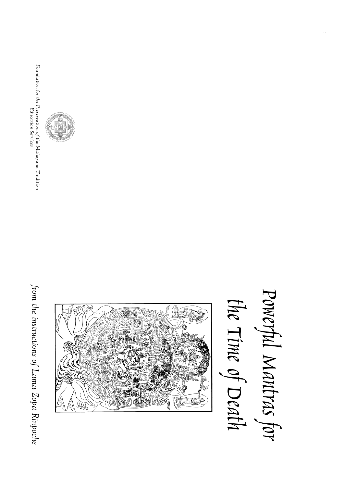from the instructions of Lama Zopa Rinpoche from the instructions of Lama Zopa Rinpoche



Education Services





Powerful Mantras for Powerful Mantras for the Time of Death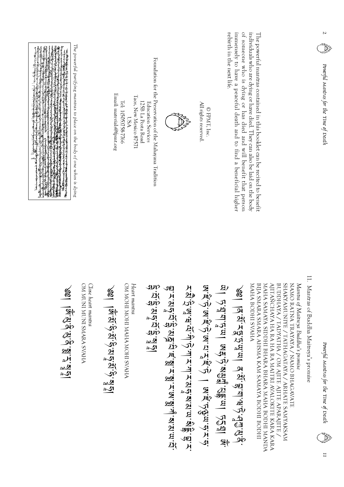| The powerful purifying mantras to place on the body of one whos is dying<br>けんちゅう きょうどう<br>લકો (એવા) અહીંનું પ્રજ્ઞાન (માર્ક તે કે દેશ કે તે કેટલા જોઇ ભેટક સ્ટરસ્ટાઇ) બુર્ગ તમે બોર્કનું એવા વર્ષના ભાગ<br>આ મિગમ માર્ગ એક જીવાનો પૈક્ષિયમાં ગીમમાં આવે છે જો હોય કર્યા અને મુખ્ય માર્ગ મળે મુખ્ય તેને માર્ગ જો કર્યો છે<br><b>PARTIE CONTRACTOR CARDINAL CONTRACTOR CONTRACTOR CONTRACTOR CONTRACTOR CONTRACTOR CONTRACTOR CONTRACTOR CONTRACTOR CONTRACTOR CONTRACTOR CONTRACTOR CONTRACTOR CONTRACTOR CONTRACTOR CONTRACTOR CONTRACTOR CONTRACTOR CONTRAC</b><br>CONTRACTOR OF THE ANGELES AND THE | Foundation for the Preservation of the Mahayana Tradition<br>Email: materials@fpmt.org<br>Taos, New Mexico 87571<br>Tel: 1(505)758-7766<br>125B La Posta Road<br>Education Services<br>$\mathbb{S}^4$ | All rights reserved.<br>$\ensuremath{\mathbb{Q}}$ FPMT, Inc                                                     | individuals who are dying or have died. They can also be laid on the body<br>rebirth in the next life.<br>immensely to have a peaceful death and to find a beneficial higher<br>of someone who is dying or has died and will benefit that person<br>The powerful mantras contained in this booklet can be recited to benefit                                                                                                                 | Z<br>Powerful Mantras for the Time of Death                                             |
|--------------------------------------------------------------------------------------------------------------------------------------------------------------------------------------------------------------------------------------------------------------------------------------------------------------------------------------------------------------------------------------------------------------------------------------------------------------------------------------------------------------------------------------------------------------------------------------------------------|-------------------------------------------------------------------------------------------------------------------------------------------------------------------------------------------------------|-----------------------------------------------------------------------------------------------------------------|----------------------------------------------------------------------------------------------------------------------------------------------------------------------------------------------------------------------------------------------------------------------------------------------------------------------------------------------------------------------------------------------------------------------------------------------|-----------------------------------------------------------------------------------------|
| <b>PHYAS PAPINS INOM INOM NO</b><br>Close heart mantra<br>१४ में अंवें संबंधन पूर्व                                                                                                                                                                                                                                                                                                                                                                                                                                                                                                                    | OM MOHI MOHI MAHA MOHI SVAHA<br>Heart mantra<br>こうばんだい きょうこう<br>الأحمار العَبْدِينَ وَالْتَجْرِينَ الْمَعْرِينَ وَالْتَجْرِينَ وَإِلَيْهِ الْمَحْمَلِينَ                                              | Mi帆心,Mi帆心,Mi以爪心 一 Mi帆心的mi化儿心<br>如:从这位,如:如:从,如:从:吸:从:@:唑:鱼:以:?<br>F.B.f3rgrqrqr7jpry11.hrml.hrgrqrqrqrqrqmrgr.hr | SHAKYAMUNIYE / TATHAGATAYA / ARHATE SAMYAKSAM<br>AJITAÑCHAYA HA RA HA RA MAITRI AVALOKITE KARA KARA<br>MAHA BODHLSVAHA<br>BIJA SMARA SMARA AHSMA KAM SAMAYA BODHI BODHI<br>MAHA SAMAYA SIDDHI BHARA BHARA MAHA BODHI MANDA<br>BUDDHAYA / TADYATHA / OM AJITE AJITE APARAJITE .<br>NAMO RATNA TRAYAYA / NAMO BHAGAVATE<br>Mantra of Maitreya Buddha's promise<br>ेखा  वॅ.सॅ.रङ्ग्रं पुराण वॅ.सॅ.स्.प्'स'न्युणुखे<br>1)以应上以互一员代心,坚定性,公顺互一反的一家; | $\Xi$<br>Mantras of Buddha Maitreya's promise<br>Powerful Mantras for the Time of Death |

11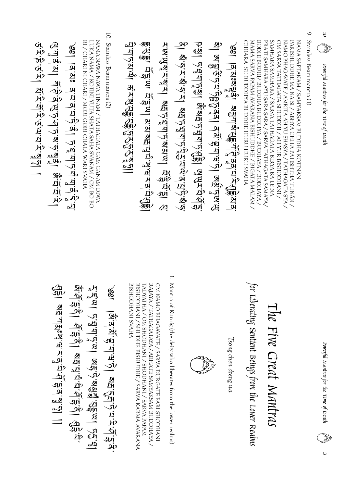|                                                                                                                                                                                                                                                                                                                                |                                                                                                                                                                                                                                                                                                                                                                                            |                                                                                                                                                                                                                                                                                                                                                                                                                                                                                   | $\circ$                   | $\overline{c}$                         |
|--------------------------------------------------------------------------------------------------------------------------------------------------------------------------------------------------------------------------------------------------------------------------------------------------------------------------------|--------------------------------------------------------------------------------------------------------------------------------------------------------------------------------------------------------------------------------------------------------------------------------------------------------------------------------------------------------------------------------------------|-----------------------------------------------------------------------------------------------------------------------------------------------------------------------------------------------------------------------------------------------------------------------------------------------------------------------------------------------------------------------------------------------------------------------------------------------------------------------------------|---------------------------|----------------------------------------|
|                                                                                                                                                                                                                                                                                                                                |                                                                                                                                                                                                                                                                                                                                                                                            |                                                                                                                                                                                                                                                                                                                                                                                                                                                                                   |                           | Canada<br>Canada                       |
| 10. Stainless Beam mantra (2)<br>NAMA NAWA NAWA TINAM / TATHAGATA GAM GANAM DIWA<br>RI / CHARI NI CHARI / MORI GORI CHALA WARI SVAHA<br>DRA NAMA / KOTINI YUTA SHATA SAHA SVANAM / OM BO BO<br>5、功前后,一些为其为后直直为"盗道一<br>公山ふど」 半かいないよう きょうじょう 愛知(出り)<br>৩९   वॅंट्राঃ वॅ <sup>:</sup> य`वॅ'य`फें'वैं  फ्रंघ्'फ़्'यैं'व त्रिं'वे द | (1997年) 1996年12月19日,1998年12月12日,1997年12月12日,1997年12月12日,1997年12月12日,1997年12月12日,1997年12月12日,1997年12月<br><u>देश प्रसार्थ हैं। ब्रिश व्यक्त के प्रदान प्रसार्थ करने हैं।</u><br>ৰী জ'ন্ট্ৰন্ট্ৰেল। ব'ম'ল্ল'ন্দ্ৰ' জ্যুন্ন'ন্দ্ৰ'<br>A'm'5'a'i a'片必(御)你)3'S'S'S'a'a'i<br>A'M'(S'A'A'A') AH S'A'()'A'A'(S'A') A' A'()'A') A'()<br>७७१  त्रध्वेर्वन् । स्थान्धंद्रां संस्वनं येन्द्रं संस्वनं । | SAMHARA SAMHARA / SARVA TATHAGATA BIRYA BA LE NA<br>PRATI SAMHARA AYU SARA SARA / SARVA TATHAGATA SAMAYA/<br>NAMA SAPTANAM / SAMYAKSAM BUDDHA KOTINÄN<br>NAMO BHAGAVATE / AMRITA AH YU SHASYA / TATHAGATA SYA /<br>OM SARVA TATHAGATA SHUDDHI / AH YUR BISHODHANI /<br>PARISHUDDHE MA NA SI / ABHYA CHITA PATISHTHA TUNÄN /<br>CHHARA SU BUDDHYA BUDDHE HURU SUND SVAHA<br>MAMA SARVA PAPAM AVARANA BISHUDDHE / BIGATA MALAM /<br>BODHI BODHI/ BUDDHA BUDDHYA / BODHAYA / BODHAYA | Stainless Beam mantra (1) |                                        |
|                                                                                                                                                                                                                                                                                                                                |                                                                                                                                                                                                                                                                                                                                                                                            |                                                                                                                                                                                                                                                                                                                                                                                                                                                                                   |                           | Powerful Mantras for the Time of Death |
|                                                                                                                                                                                                                                                                                                                                |                                                                                                                                                                                                                                                                                                                                                                                            |                                                                                                                                                                                                                                                                                                                                                                                                                                                                                   |                           |                                        |
|                                                                                                                                                                                                                                                                                                                                |                                                                                                                                                                                                                                                                                                                                                                                            |                                                                                                                                                                                                                                                                                                                                                                                                                                                                                   |                           |                                        |
|                                                                                                                                                                                                                                                                                                                                |                                                                                                                                                                                                                                                                                                                                                                                            |                                                                                                                                                                                                                                                                                                                                                                                                                                                                                   |                           |                                        |
|                                                                                                                                                                                                                                                                                                                                |                                                                                                                                                                                                                                                                                                                                                                                            |                                                                                                                                                                                                                                                                                                                                                                                                                                                                                   |                           |                                        |

1. Mantra of Kunrig (the deity who liberates from the lower realms) 1. Mantra of Kunrig (the deity who liberates from the lower realms) OM NAMO BHAGAVATE / SARVA DURGATE PARI SHODHANI<br>RAJAYA / TATHAGATAYA / ARHATE SAMYAKSAM BUDDHAYA / **AHAVS IMAHQOHSIS** BISHODHANI / SHUDHE BISHUDHE / SARVA KARMA AVARANA TADYATHA / OM SHODHANI / SHODHANI / SARVA PAPAN BISHODHANI SVAHA BISHODHANI / SHUDHE BISHUDHE / SARVA KARMA AVARANA TADYATHA / OM RAJAYA / TATHAGATAYA / ARHATE SAMYAKSAM BUDDHAYA / OM NAMO BHAGAVATE / SARVA DURGATE PARI SHODHANI SHODHANI / SHODHANI / SARVA PAPAM

| ्रणं<br>अर्थ<br>ΩG |
|--------------------|
|                    |

|                     | for Liberating Sentient Beings from the Lower Realms |
|---------------------|------------------------------------------------------|
|                     |                                                      |
| Tsong chen dreng wa |                                                      |
|                     |                                                      |
|                     |                                                      |
|                     |                                                      |
|                     |                                                      |

The Five Great Mantras

The Five Great Mantras

 $\omega$ 

eser<br>Dødsf

Powerful Mantras for the Time of Death

Powerful Mantras for the Time of Death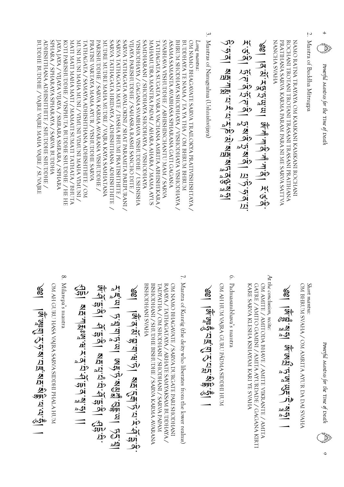en 1979.<br>Lindje Powerful Mantras for the Time of Death Powerful Mantras for the Time of Death

4

 $\overline{\mathcal{L}}$ 2. Mantra of Buddha Mitrugpa Mantra of Buddha Mitrugpa

**VHVAS VHONVN** PRATIHANA SARVA KARMA PARAM PARA NI ME SARVA SATTVA ROCHANI TROTANI TROTANI TRASANI TRASANI PRATIHANA NAMO RATNA TRAYAYA OM KAMKANI KAMKANI ROCHANI NANCHA SVAHA PRATIHANA SARVA KARMA PARAM PARA NI ME SARVA SATTVA ROCHANI TROTANI TROTANI TRASANI TRASANI PRATIHANA NAMO RATNA TRAYAYA OM KAMKANI KAMKANI ROCHANI

$$
\frac{1}{2}
$$

3. 3. Mantras of Namgyalma (Ushnishvijaya) Mantras of Namgyalma (Ushnishvijaya)

Punpuu Suo Long mantra:

SVABHAVA VISHUDDHE / ABHISHINCHANTU MAM / SARVA BUDDHE BUDDHE / VAJRE VAJRE MAHA VAJRE / SUVAJRE ADHISHTHANA ADHISHTHTE / SHUDDHE SHUDDHE / ADHISHTHANA ADHISHTHITE / SHUDDHE SHUDDHE / SPHARA / SPHARAYA SPHARAYA / SARVA BUDDHA JAYA JAYA / VIJAYA VIJAYA / SMRARA SMRARA / SPHARA JAYA JAYA / VIJAYA VIJAYA / SMRARA SMRARA / SPHARA KOTI PARISHUDDHE / VISPHUTA BUDDHE SHUDDHE / HE HE MATI MATI MAHA MATI / MAMATI SUMATI TATHATA / BHUTA / INOMIA VHVW INOMIA INOMIA / INOM VHVW INOM INOM PRATINI VARTAYA MAMA AYUR / VISHUDDHE SARVA PARISHUDDHE / SARVA KARMA AVARANA VISHUDDHE / MUDRE MUDRE MAHA MUDRE / VAJRA KAYA SAMHATANA SARVA TATHAGATA HRIDAYA / ADHISHTHANA ADHISHTHITE SARVA TATHAGATA MATE / DASHA BHUMI PRATISHTHITE / SARVA TATHAGATA AVALOKINI / SHAT PARAMITA PARIPURANI / VIJAYA PARISHUDDHE / SAHASRA RASMI SANCHO DITE / VIJAYA PARISHUDDHE / SAHASRA RASMI SANCHO DITE / NISHODHAYA / GAGANA SVABHAVA VISHUDDHE / USHNISHA VISHODHAYA / GAGANA SVABHAVA VISHUDDHE / USHNISHA **SAMDHARANI / SHODHAYA SHODHAYA / VISHODHAYA** MAHAMUDRA MANTRA PADAI / AHARA AHARA / MAMA AYUS TATHAGATA SUGATA VARA VACHANA AMRITA ABHISHEKARA , ASAMA SAMANTA AVABHASA SPHARANA GATI GAGANA ASAMA SAMANTA AVABHASA SPHARANA GATI GAGANA AYAHQOHSIV AYAA SHODHAYA / VISHODHAYA VISHODHAYA / BUDDHAYA TE NAMA / TA YA THA / OM BHRUM BHRUM OM NAMO BHAGAVATE SARVA TRAILOKYA PRATIVISHISHTAYA / BUDDHE BUDDHE / VAJRE VAJRE MAHA VAJRE / SUV SPHARA / SPHARAYA SPHARAYA / SARVA BUDDHA KOTI PARISHUDDHE / VISPHUTA BUDDHE SHUDDHE / HE HE MATI MATI MAHA MATI / MAMATI SUMATI TATHATA / BHUTA MUNI MUNI MAHA MUNI / VIMUNI VIMUNI MAHA VIMUNI / TATHAGATA / SAMAYA ADHISHTHANA ADHISHTHITE / OM TATHAGATA / SAMAYA ADHISHTHANA ADHISHTHITE / OM PRATINI VARTAYA MAMA AYUR / VISHUDDHE SARVA PARISHUDDHE / SARVA KARMA AVARANA VISHUDDHE / MUDRE MUDRE MAHA MUDRE / VAJRA KAYA SAMHATANA SARVA TATHAGATA HRIDAYA / ADHISHTHANA ADHISHTHITE / SARVA TATHAGATA MATE / DASHA BHUMI PRATISHTHITE / SARVA TATHAGATA AVALOKINI / SHAT PARAMITA PARIPURANI / SAMDHARANI / SHODHAYA SHODHAYA / VISHODHAYA MAHAMUDRA MANTRA PADAI / AHARA AHARA / MAMA AYUS TATHAGATA SUGATA VARA VACHANA AMRITA ABHISHEKARA / SVABHAVA VISHUDDHE / ABHISHINCHANTU MAM / SARVA BHRUM SHODHAYA SHODHAYA / VISHODHAYA VISHODHAYA / BUDDHAYA TE NAMA / TA YA THA / OM BHRUM BHRUM OM NAMO BHAGAVATE SARVA TRAILOKYA PRATIVISHISHTAYA /

 $\mathcal{Q}$ 

OM BHRUM SVAHA / OM AMRITA AYUR DA DAI SVAHA Short mantra: OM BHRUM SVAHA / OM AMRITA AYUR DA DAI SVAHA Short mantra:

<u>्रू</u>। ।<br>इ  $\partial \mathfrak{A}$ ą ⊉⊿מ aS) —<br>-<br>श्रृ<sub>९</sub>  $\bf \Omega$ <u>)21, </u> اکھ<br>بھ (SH<br>小 ລ∆∠2 ast  $\overline{\phantom{a}}$ 

At the conclusion, recite: At the conclusion, recite:

GATRE / AMITO GAMINI / AMITA AYURDADE / GAGANA KIRTI OM AMITE / AMITODA BHAVE / AMITE VIKRANTE / AMITA KARE SARVA KLESHA KSHAYAM KARI YE SVAHA KARE SARVA KLESHA KSHAYAM KARI YE SVAHA GATRE / AMITO GAMINI / AMITA AYURDADE / GAGANA KIRTI OM AMITE / AMITODA BHAVE / AMITE VIKRANTE / AMITA

6. Padmasambhava's mantra 6. Padmasambhava's mantra

OM AH HUM VAJRA GURU PÄDMA SIDDHI HUM OM AH HUM VAJRA GURU PÄDMA SIDDHI HUM

 $\frac{1}{2}$  ,  $\frac{1}{2}$  ,  $\frac{1}{2}$  $\boldsymbol{\Sigma}$ )ጢ  $\frac{A}{\sqrt{2}}$  $\bf \Sigma$ 2月(2010)<br>- 1911)<br>- 1911, 1911

7. Mantra of Kunrig (the deity who liberates from the lower realms) 7. Mantra of Kunrig (the deity who liberates from the lower realms)

RAJAYA / TATHAGATAYA / ARHATE SAMYAKSAM BUDDHAYA / OM NAMO BHAGAVATE / SARVA DURGATE PARI SHODHANI **AHAVS INAHQOHSIS** BISHODHANI SVAHA BISHODHANI / SHUDHE BISHUDHE / SARVA KARMA AVARANA BISHODHANI / SHUDHE BISHUDHE / SARVA KARMA AVARANA TADYATHA / OM SHODHANI / SHODHANI / SARVA PAPAM TADYATHA / OM SHODHANI / SHODHANI / SARVA PAPAM RAJAYA / TATHAGATAYA / ARHATE SAMYAKSAM BUDDHAYA / OM NAMO BHAGAVATE / SARVA DURGATE PARI SHODHANI

.<u>ख</u>़ा ।ब्र \_બ<br>\_બૂર્ **PD**  $\frac{1}{2}$ ረ<br>ካ  $\sum_{i,j}$ ム・ル・ムー आ<br>الإ بل<sub>اھ</sub><br>پالا<sub>ھ</sub>  $\overline{z}$ اب<br>الك<br>الك  $\boldsymbol{\Sigma}$ A ?୯ଧ بايلا $\ddot{\phantom{1}}$  $\boldsymbol{\Sigma}$  $\smallsetminus$ ্য ان)<br>الم

 $\frac{5}{3}$  ,  $\frac{1}{3}$  ,  $\frac{1}{3}$  $\frac{c}{\partial t}$ ي<br>اي<br>اي )ጢ -<br>2H<br>·罗<br>·罗 <u>ব্য সে</u> <u>asi</u>o<br>—

OM AH GURU HASA VAJRA SARVA SIDDHI PHALA HUM OM AH GURU HASA VAJRA SARVA SIDDHI PHALA HUM

8. Milarepa's mantra 8. Milarepa's mantra

⊠न्ं नाहः<br>बन्द्रं नाहः **かり** إفر ्<br>पुर ふか \_ઞું لار<br>أك-

 $\overline{\phantom{a}}$ 

 $\overline{\mathcal{C}}$  $\frac{3}{\sqrt{2}}$ 

اط<br>أكـد  $\overline{\phantom{0}}$ n<br>Si <u>रण्ड</u>  $\overline{\phantom{0}}$ 3m<br>|<br>|<br>|  $\Delta$ र् 3m<br><u>آل</u>ک ረ<br>ካ ب<br>بر<br>1  $\vec{\mathbf{v}}$ ्यूर<br>पुर 3m<br>|<br>|<br>|  $\overline{\mathcal{C}}$ ふい ক<br>ম

%<br>\<u>r\</u><br>(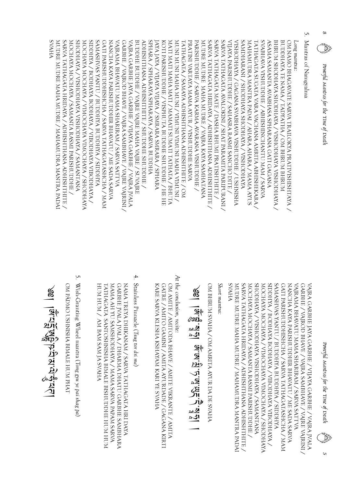$\mathbf{v}$ 

Powerful Mantras for the Time of Death

Powerful Mantras for the Time of Death Powerful Mantras for the Time of Death

8

- Σ. 5. Mantras of Namgyalma Mantras of Namgyalma
- Long mantra:

SARVA TATHAGATA AVALOKINI / SHAT PARAMITA PARIPURANI / SVABHAVA VISHUDDHE / ABHISHINCHANTU MAM / SARVA MUDRE MUDRE MAHA MUDRE / MAHAMUDRA MANTRA PADA SARVA TATHAGATA HRIDAYA / ADHISHTHANA ADHISHTHITE / MOCHAYA MOCHAYA / SAMANTA RASMI PARISHUDDHE , SHODHAYA / VISHODHAYA VISHODHAYA / SAMANTANA MOCHAYA MOCHAYA / VIMOCHAYA VIMOCHAYA / SHODHAYA A AYAH / BODHAYA BODHAYA / VIBODHAYA VIBODHAYA / **AYHOUS \ ANTU \ BUDDEN AYHOUS** GATI PARISHUDDHISHCHA / SARVA TATHAGATASHCHA / MAM NANCHA KAYA PARISHUDDHIR BHAVATU / ME SADA SARVA VAJRAMA BHAVATU MAMA SHARIRAM / SARVA SATTVA VAJRAMA BHAVATU MAMA SHARIRAM / SARVA SATTVA GARBHE / VAJROD BHAVE / VAJRA SAMBHAVE / VAJRE VAJRINI / VAJRA GARBHE JAYA GARBHE / VIJAYA GARBHE / VAJRA JVALA VAJRA GARBHE JAYA GARBHE / VIJAYA GARBHE / VAJRA JVALABUDDHE BUDDHE / VAJRE VAJRE MAHA VAJRE / SUVAJRE ADHISHTHANA ADHISHTHTE / SHUDDHE SHUDDHE / ADHISHTHANA ADHISHTHITE / SHUDDHE SHUDDHE / SPHARA / SPHARAYA SPHARAYA / SARVA BUDDHA JAYA JAYA / VIJAYA VIJAYA / SMRARA SMRARA / SPHARA JAYA JAYA / VIJAYA VIJAYA / SMRARA SMRARA / SPHARA KOTI PARISHUDDHE / VISPHUTA BUDDHE SHUDDHE / HE HE MATI MATI MAHA MATI / MAMATI SUMATI TATHATA / BHUTA / INOMIA VHVN INOMIA INOMIA / INOM VHVN INOM INOM PRATINI VARTAYA MAMA AYUR / VISHUDDHE SARVA PARISHUDDHE / SARVA KARMA AVARANA VISHUDDHE / MUDRE MUDRE MAHA MUDRE / VAJRA KAYA SAMHATANA SARVA TATHAGATA HRIDAYA / ADHISHTHANA ADHISHTHITE SARVA TATHAGATA MATE / DASHA BHUMI PRATISHTHITE / VIJAYA PARISHUDDHE / SAHASRA RASMI SANCHO DITE / VIJAYA PARISHUDDHE / SAHASRA RASMI SANCHO DITE / NISHODHAYA / GAGANA SVABHAVA VISHUDDHE / USHNISHA VISHODHAYA / GAGANA SVABHAVA VISHUDDHE / USHNISHA **SAMDHARANI / SHODHAYA SHODHAYA / VISHODHAYA** MAHAMUDRA MANTRA PADAI / AHARA AHARA / MAMA AYUS TATHAGATA SUGATA VARA VACHANA AMRITA ABHISHEKARA / ASAMA SAMANTA AVABHASA SPHARANA GATI GAGANA ASAMA SAMANTA AVABHASA SPHARANA GATI GAGANA **BHRUM SHODHAYA SHODHAYA / VISHODHAYA VISHODHAYA /** BUDDHAYA TE NAMA / TADYATHA / OM BHRUM BHRUM OM NAMO BHAGAVATE SARVA TRAILOKYA PRATIVISHISHTAYA / SVAHA MUDRE MUDRE MAHA MUDRE / MAHAMUDRA MANTRA PADAI SARVA TATHAGATA HRIDAYA / ADHISHTHANA ADHISHTHITE / MOCHAYA MOCHAYA / SAMANTA RASMI PARISHUDDHE / SHODHAYA / VISHODHAYA VISHODHAYA / SAMANTANA MOCHAYA MOCHAYA / VIMOCHAYA VIMOCHAYA / SHODHAYA SIDDHYA / BODHAYA BODHAYA / VIBODHAYA VIBODHAYA / SAMASHVAS YANTU / BUDDHYA BUDDHYA / SIDDHYA GATI PARISHUDDHISHCHA / SARVA TATHAGATASHCHA / MAM NANCHA KAYA PARISHUDDHIR BHAVATU / ME SADA SARVA GARBHE / VAJROD BHAVE / VAJRA SAMBHAVE / VAJRE VAJRINI / BUDDHE BUDDHE / VAJRE VAJRE MAHA VAJRE / SUV SPHARA / SPHARAYA SPHARAYA / SARVA BUDDHA KOTI PARISHUDDHE / VISPHUTA BUDDHE SHUDDHE / HE HE MATI MATI MAHA MATI / MAMATI SUMATI TATHATA / BHUTA MUNI MUNI MAHA MUNI / VIMUNI VIMUNI MAHA VIMUNI / TATHAGATA / SAMAYA ADHISHTHANA ADHISHTHITE / OM TATHAGATA / SAMAYA ADHISHTHANA ADHISHTHITE / OM PRATINI VARTAYA MAMA AYUR / VISHUDDHE SARVA PARISHUDDHE / SARVA KARMA AVARANA VISHUDDHE / MUDRE MUDRE MAHA MUDRE / VAJRA KAYA SAMHATANA SARVA TATHAGATA HRIDAYA / ADHISHTHANA ADHISHTHITE / SARVA TATHAGATA MATE / DASHA BHUMI PRATISHTHITE / SARVA TATHAGATA AVALOKINI / SHAT PARAMITA PARIPURANI / SAMDHARANI / SHODHAYA SHODHAYA / VISHODHAYA MAHAMUDRA MANTRA PADAI / AHARA AHARA / MAMA AYUS TATHAGATA SUGATA VARA VACHANA AMRITA ABHISHEKARA / SVABHAVA VISHUDDHE / ABHISHINCHANTU MAM / SARVA BHRUM SHODHAYA SHODHAYA / VISHODHAYA VISHODHAYA / BUDDHAYA TE NAMA / TADYATHA / OM BHRUM BHRUM OM NAMO BHAGAVATE SARVA Long mantra TRAILOKYA PRATIVISHISHTAYA /

> SARVA TATHAGATA HRIDAYA / ADHISHTHANA ADHISHTHITE / A AYAH / BODHAYA BODHAYA / VIBODHAYA VIBODHAYA / **ANHIQUIS \ ANTU / BUDDHYA ANHIDATA / SNARA** GATI PARISHUDDHISHCHA / SARVA TATHAGATASHCHA / MAM NANCHA KAYA PARISHUDDHIR BHAVATU / ME SADA SARVA VAJRAMA BHAVATU MAMA SHARIRAM / SARVA SATTVA GARBHE / VAJROD BHAVE / VAJRA SAMBHAVE / VAJRE VAJRINI / SHODHAYA / VISHODHAYA VISHODHAYA / SAMANTANA WOCHAYA MOCHAYA / VIMOCHAYA VIMOCHAYA / SHODHAYA VAJRAMA BHAVATU MAMA SHARIRAM / SARVA SATTVA VAJRA GARBHE JAYA GARBHE / VIJAYA GARBHE / VAJRA JVALA SVAHA MUDRE MUDRE MAHA MUDRE / MAHAMUDRA MANTRA PADA MUDRE MUDRE MAHA MUDRE / MAHAMUDRA MANTRA PADAI SARVA TATHAGATA HRIDAYA / ADHISHTHANA ADHISHTHITE / MOCHAYA MOCHAYA / SAMANTA RASMI PARISHUDDHE / MOCHAYA MOCHAYA / SAMANTA RASMI PARISHUDDHE / SHODHAYA / VISHODHAYA VISHODHAYA / SAMANTANA MOCHAYA MOCHAYA / VIMOCHAYA VIMOCHAYA / SHODHAYA SIDDHYA / BODHAYA BODHAYA / VIBODHAYA VIBODHAYA / SAMASHVAS YANTU / BUDDHYA BUDDHYA / SIDDHYA GATI PARISHUDDHISHCHA / SARVA TATHAGATASHCHA / MAM NANCHA KAYA PARISHUDDHIR BHAVATU / ME SADA SARVA GARBHE / VAJROD BHAVE / VAJRA SAMBHAVE / VAJRE VAJRINI / VAJRA GARBHE JAYA GARBHE / VIJAYA GARBHE / VAJRA JVALA

Short mantra: Short mantra:

OM BHRUM SVAHA / OM AMRITA AYUR DA DE SVAHA OM BHRUM SVAHA / OM AMRITA AYUR DA DE SVAHA

<u>्रूते । हि</u>  $\partial \mathbf{u}$ الا∕دھ اکھ —<br>%्र جو<br>ديور اک<br>ای<br>ای 第<br>亚 الا∆ھ اکھ  $\overline{\phantom{a}}$ 

At the conclusion, recite: At the conclusion, recite:

OM AMITE / AMITODA BHAVE / AMITE VIKRANTE / AMITA KARE SARVA KLESHA KSHAYAM KARI YE SVAHA GATRE / AMITO GAMINI / AMITA AYURDADE / GAGANA KIRTI KARE SARVA KLESHA KSHAYAM KARI YE SVAHA GATRE / AMITO GAMINI / AMITA AYURDADE / GAGANA KIRTI OM AMITE / AMITODA BHAVE / AMITE VIKRANTE / AMITA

 $4.$ 4. Stainless Pinnacle (Stainless Pinnacle (Tsug tor dri me) Tsug tor dri me

MAMA AH YU SAMSHODHAYA / MAMA SARVA PAPAM SARVA GARBHE JVALA JVALA / DHARMA DHATU GARBHE SAMBHARA HEVY HUM / AM BAM SAM JA SVAHA NAMA TREYA DHIKANAM / SARVA TATHAGATA HRI DAYA HUM HUM / AM BAM SAM JA SVAHA TATHAGATA SANTOSHNISHA BIMALE BISHUDDHE HUM HUM MAMA AH YU SAMSHODHAYA / MAMA SARVA PAPAM SARVA GARBHE JVALA JVALA / DHARMA DHATU GARBHE SAMBHARA NAMA TREYA DHIKANAM / SARVA TATHAGATA HRI DAYA FATHAGATA SANTOSHNISHA BIMALE BISHUDDHE HUM HUM

5. Wish-Granting Wheel mantra (Tong gyu ye pai shag pa5. Wish-Granting Wheel mantra (Tong gyu ye pai shag pa)

OM PADMO USHNISHA BIMALE HUM PHAT OM PÄDMO USHNISHA BIMALE HUM PHAT

 $\frac{1}{10}$ <u>ጁ</u>ት  $\boldsymbol{\Sigma}$  $\vec{E}$  $\frac{21}{2}$ 

ट्यार्<br>ब्लॅट्रें<br>स्रोत ەلگە  $\frac{\Delta p}{2}$